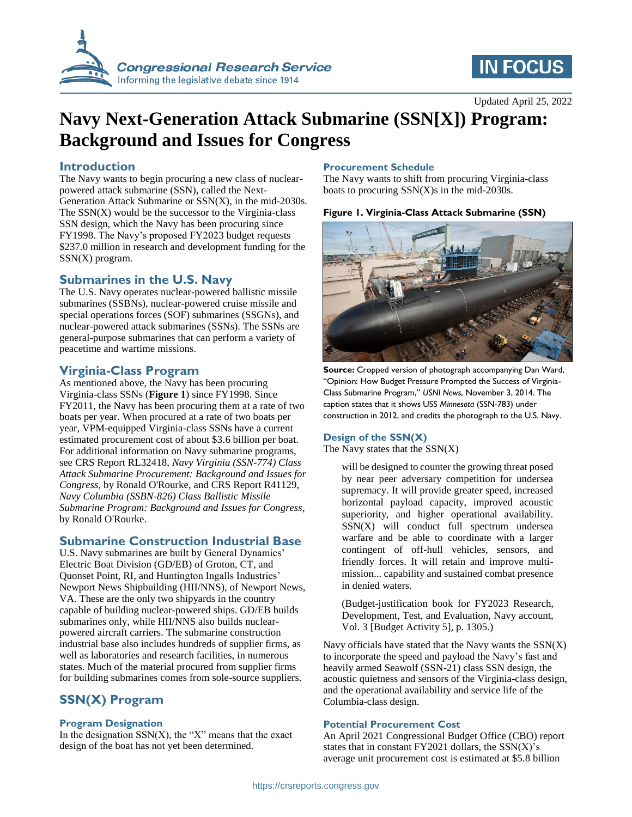

# **IN FOCUS**

# **Navy Next-Generation Attack Submarine (SSN[X]) Program: Background and Issues for Congress**

## **Introduction**

The Navy wants to begin procuring a new class of nuclearpowered attack submarine (SSN), called the Next-Generation Attack Submarine or SSN(X), in the mid-2030s. The  $SSN(X)$  would be the successor to the Virginia-class SSN design, which the Navy has been procuring since FY1998. The Navy's proposed FY2023 budget requests \$237.0 million in research and development funding for the SSN(X) program.

# **Submarines in the U.S. Navy**

The U.S. Navy operates nuclear-powered ballistic missile submarines (SSBNs), nuclear-powered cruise missile and special operations forces (SOF) submarines (SSGNs), and nuclear-powered attack submarines (SSNs). The SSNs are general-purpose submarines that can perform a variety of peacetime and wartime missions.

## **Virginia-Class Program**

As mentioned above, the Navy has been procuring Virginia-class SSNs (**[Figure 1](#page-0-0)**) since FY1998. Since FY2011, the Navy has been procuring them at a rate of two boats per year. When procured at a rate of two boats per year, VPM-equipped Virginia-class SSNs have a current estimated procurement cost of about \$3.6 billion per boat. For additional information on Navy submarine programs, see CRS Report RL32418, *Navy Virginia (SSN-774) Class Attack Submarine Procurement: Background and Issues for Congress*, by Ronald O'Rourke, and CRS Report R41129, *Navy Columbia (SSBN-826) Class Ballistic Missile Submarine Program: Background and Issues for Congress*, by Ronald O'Rourke.

# **Submarine Construction Industrial Base**

U.S. Navy submarines are built by General Dynamics' Electric Boat Division (GD/EB) of Groton, CT, and Quonset Point, RI, and Huntington Ingalls Industries' Newport News Shipbuilding (HII/NNS), of Newport News, VA. These are the only two shipyards in the country capable of building nuclear-powered ships. GD/EB builds submarines only, while HII/NNS also builds nuclearpowered aircraft carriers. The submarine construction industrial base also includes hundreds of supplier firms, as well as laboratories and research facilities, in numerous states. Much of the material procured from supplier firms for building submarines comes from sole-source suppliers.

# **SSN(X) Program**

#### **Program Designation**

In the designation  $SSN(X)$ , the "X" means that the exact design of the boat has not yet been determined.

#### **Procurement Schedule**

The Navy wants to shift from procuring Virginia-class boats to procuring SSN(X)s in the mid-2030s.

#### <span id="page-0-0"></span>**Figure 1. Virginia-Class Attack Submarine (SSN)**



**Source:** Cropped version of photograph accompanying Dan Ward, "Opinion: How Budget Pressure Prompted the Success of Virginia-Class Submarine Program," *USNI News*, November 3, 2014. The caption states that it shows USS *Minnesota* (SSN-783) under construction in 2012, and credits the photograph to the U.S. Navy.

#### **Design of the SSN(X)**

The Navy states that the  $SSN(X)$ 

will be designed to counter the growing threat posed by near peer adversary competition for undersea supremacy. It will provide greater speed, increased horizontal payload capacity, improved acoustic superiority, and higher operational availability. SSN(X) will conduct full spectrum undersea warfare and be able to coordinate with a larger contingent of off-hull vehicles, sensors, and friendly forces. It will retain and improve multimission... capability and sustained combat presence in denied waters.

(Budget-justification book for FY2023 Research, Development, Test, and Evaluation, Navy account, Vol. 3 [Budget Activity 5], p. 1305.)

Navy officials have stated that the Navy wants the  $SSN(X)$ to incorporate the speed and payload the Navy's fast and heavily armed Seawolf (SSN-21) class SSN design, the acoustic quietness and sensors of the Virginia-class design, and the operational availability and service life of the Columbia-class design.

#### **Potential Procurement Cost**

An April 2021 Congressional Budget Office (CBO) report states that in constant  $FY2021$  dollars, the  $SSN(X)$ 's average unit procurement cost is estimated at \$5.8 billion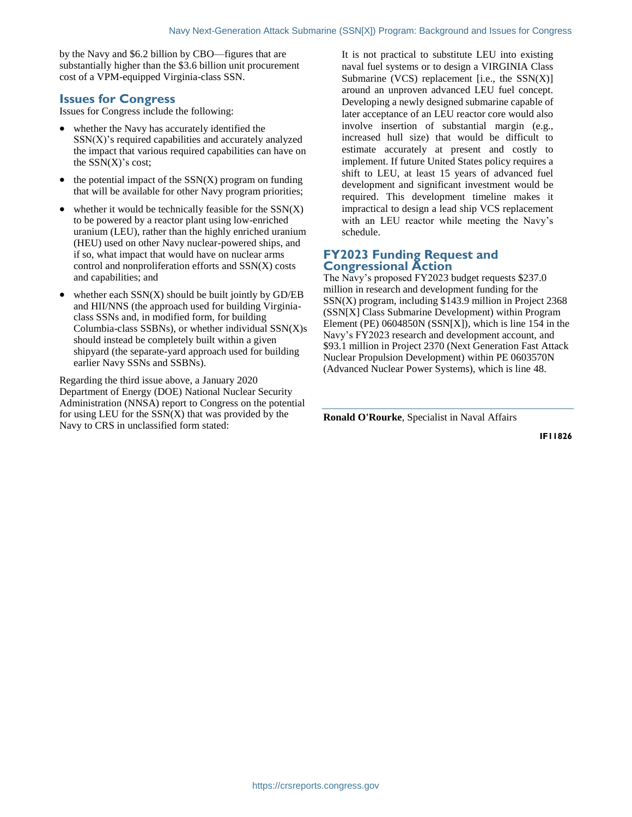by the Navy and \$6.2 billion by CBO—figures that are substantially higher than the \$3.6 billion unit procurement cost of a VPM-equipped Virginia-class SSN.

#### **Issues for Congress**

Issues for Congress include the following:

- whether the Navy has accurately identified the  $SSN(X)$ 's required capabilities and accurately analyzed the impact that various required capabilities can have on the  $SSN(X)$ 's cost;
- $\bullet$  the potential impact of the SSN(X) program on funding that will be available for other Navy program priorities;
- whether it would be technically feasible for the  $SSN(X)$ to be powered by a reactor plant using low-enriched uranium (LEU), rather than the highly enriched uranium (HEU) used on other Navy nuclear-powered ships, and if so, what impact that would have on nuclear arms control and nonproliferation efforts and SSN(X) costs and capabilities; and
- whether each SSN(X) should be built jointly by GD/EB and HII/NNS (the approach used for building Virginiaclass SSNs and, in modified form, for building Columbia-class SSBNs), or whether individual SSN(X)s should instead be completely built within a given shipyard (the separate-yard approach used for building earlier Navy SSNs and SSBNs).

Regarding the third issue above, a January 2020 Department of Energy (DOE) National Nuclear Security Administration (NNSA) report to Congress on the potential for using LEU for the  $SSN(X)$  that was provided by the Navy to CRS in unclassified form stated:

It is not practical to substitute LEU into existing naval fuel systems or to design a VIRGINIA Class Submarine (VCS) replacement [i.e., the  $SSN(X)$ ] around an unproven advanced LEU fuel concept. Developing a newly designed submarine capable of later acceptance of an LEU reactor core would also involve insertion of substantial margin (e.g., increased hull size) that would be difficult to estimate accurately at present and costly to implement. If future United States policy requires a shift to LEU, at least 15 years of advanced fuel development and significant investment would be required. This development timeline makes it impractical to design a lead ship VCS replacement with an LEU reactor while meeting the Navy's schedule.

## **FY2023 Funding Request and Congressional Action**

The Navy's proposed FY2023 budget requests \$237.0 million in research and development funding for the SSN(X) program, including \$143.9 million in Project 2368 (SSN[X] Class Submarine Development) within Program Element (PE) 0604850N (SSN[X]), which is line 154 in the Navy's FY2023 research and development account, and \$93.1 million in Project 2370 (Next Generation Fast Attack Nuclear Propulsion Development) within PE 0603570N (Advanced Nuclear Power Systems), which is line 48.

**Ronald O'Rourke**, Specialist in Naval Affairs

**IF11826**